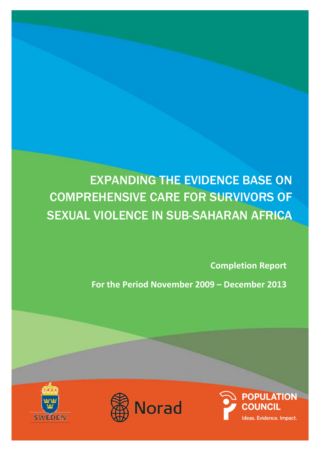# EXPANDING THE EVIDENCE BASE ON COMPREHENSIVE CARE FOR SURVIVORS OF SEXUAL VIOLENCE IN SUB-SAHARAN AFRICA

**Completion Report** 

**For the Period November 2009 – December 2013**





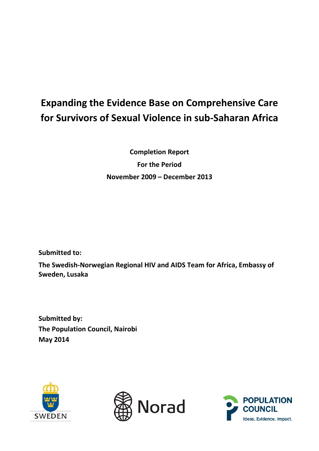## **Expanding the Evidence Base on Comprehensive Care for Survivors of Sexual Violence in sub-Saharan Africa**

**Completion Report For the Period November 2009 – December 2013**

**Submitted to:**

**The Swedish-Norwegian Regional HIV and AIDS Team for Africa, Embassy of Sweden, Lusaka**

**Submitted by: The Population Council, Nairobi May 2014**





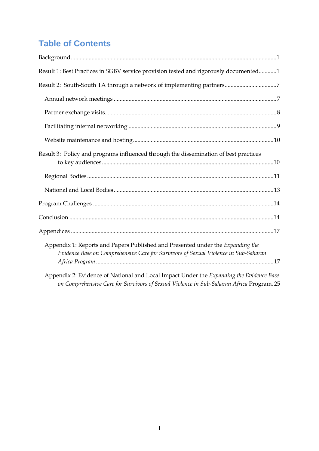## **Table of Contents**

| Result 1: Best Practices in SGBV service provision tested and rigorously documented1                                                                                                |
|-------------------------------------------------------------------------------------------------------------------------------------------------------------------------------------|
| Result 2: South-South TA through a network of implementing partners7                                                                                                                |
|                                                                                                                                                                                     |
|                                                                                                                                                                                     |
|                                                                                                                                                                                     |
|                                                                                                                                                                                     |
| Result 3: Policy and programs influenced through the dissemination of best practices                                                                                                |
|                                                                                                                                                                                     |
|                                                                                                                                                                                     |
|                                                                                                                                                                                     |
|                                                                                                                                                                                     |
|                                                                                                                                                                                     |
| Appendix 1: Reports and Papers Published and Presented under the Expanding the<br>Evidence Base on Comprehensive Care for Survivors of Sexual Violence in Sub-Saharan               |
| Appendix 2: Evidence of National and Local Impact Under the Expanding the Evidence Base<br>on Comprehensive Care for Survivors of Sexual Violence in Sub-Saharan Africa Program. 25 |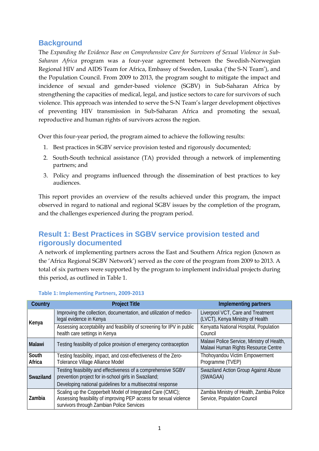## <span id="page-3-0"></span>**Background**

The *Expanding the Evidence Base on Comprehensive Care for Survivors of Sexual Violence in Sub-Saharan Africa* program was a four-year agreement between the Swedish-Norwegian Regional HIV and AIDS Team for Africa, Embassy of Sweden, Lusaka ('the S-N Team'), and the Population Council. From 2009 to 2013, the program sought to mitigate the impact and incidence of sexual and gender-based violence (SGBV) in Sub-Saharan Africa by strengthening the capacities of medical, legal, and justice sectors to care for survivors of such violence. This approach was intended to serve the S-N Team's larger development objectives of preventing HIV transmission in Sub-Saharan Africa and promoting the sexual, reproductive and human rights of survivors across the region.

Over this four-year period, the program aimed to achieve the following results:

- 1. Best practices in SGBV service provision tested and rigorously documented;
- 2. South-South technical assistance (TA) provided through a network of implementing partners; and
- 3. Policy and programs influenced through the dissemination of best practices to key audiences.

This report provides an overview of the results achieved under this program, the impact observed in regard to national and regional SGBV issues by the completion of the program, and the challenges experienced during the program period.

## <span id="page-3-1"></span>**Result 1: Best Practices in SGBV service provision tested and rigorously documented**

A network of implementing partners across the East and Southern Africa region (known as the 'Africa Regional SGBV Network') served as the core of the program from 2009 to 2013. A total of six partners were supported by the program to implement individual projects during this period, as outlined in Table 1.

| Country         | <b>Project Title</b>                                                                                                                                                                 | Implementing partners                                                             |  |  |
|-----------------|--------------------------------------------------------------------------------------------------------------------------------------------------------------------------------------|-----------------------------------------------------------------------------------|--|--|
| Kenya           | Improving the collection, documentation, and utilization of medico-<br>legal evidence in Kenya                                                                                       | Liverpool VCT, Care and Treatment<br>(LVCT), Kenya Ministry of Health             |  |  |
|                 | Assessing acceptability and feasibility of screening for IPV in public<br>health care settings in Kenya                                                                              | Kenyatta National Hospital, Population<br>Council                                 |  |  |
| <b>Malawi</b>   | Testing feasibility of police provision of emergency contraception                                                                                                                   | Malawi Police Service, Ministry of Health,<br>Malawi Human Rights Resource Centre |  |  |
| South<br>Africa | Testing feasibility, impact, and cost-effectiveness of the Zero-<br>Tolerance Village Alliance Model                                                                                 | Thohoyandou Victim Empowerment<br>Programme (TVEP)                                |  |  |
| Swaziland       | Testing feasibility and effectiveness of a comprehensive SGBV<br>prevention project for in-school girls in Swaziland;<br>Developing national guidelines for a multisecotral response | Swaziland Action Group Against Abuse<br>(SWAGAA)                                  |  |  |
| Zambia          | Scaling up the Copperbelt Model of Integrated Care (CMIC);<br>Assessing feasibility of improving PEP access for sexual violence<br>survivors through Zambian Police Services         | Zambia Ministry of Health, Zambia Police<br>Service, Population Council           |  |  |

#### **Table 1: Implementing Partners, 2009-2013**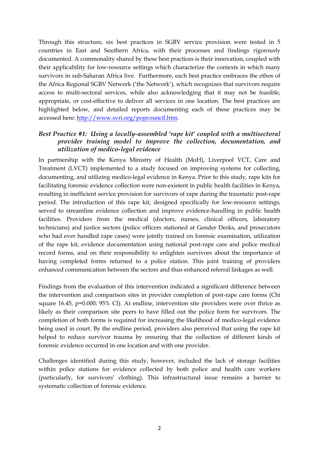Through this structure, six best practices in SGBV service provision were tested in 5 countries in East and Southern Africa, with their processes and findings rigorously documented. A commonality shared by these best practices is their innovation, coupled with their applicability for low-resource settings which characterize the contexts in which many survivors in sub-Saharan Africa live. Furthermore, each best practice embraces the ethos of the Africa Regional SGBV Network ('the Network'), which recognizes that survivors require access to multi-sectoral services, while also acknowledging that it may not be feasible, appropriate, or cost-effective to deliver all services in one location. The best practices are highlighted below, and detailed reports documenting each of these practices may be accessed here: [http://www.svri.org/popcouncil.htm.](http://www.svri.org/popcouncil.htm)

## *Best Practice #1: Using a locally-assembled 'rape kit' coupled with a multisectoral provider training model to improve the collection, documentation, and utilization of medico-legal evidence*

In partnership with the Kenya Ministry of Health (MoH), Liverpool VCT, Care and Treatment (LVCT) implemented to a study focused on improving systems for collecting, documenting, and utilizing medico-legal evidence in Kenya. Prior to this study, rape kits for facilitating forensic evidence collection were non-existent in public health facilities in Kenya, resulting in inefficient service provision for survivors of rape during the traumatic post-rape period. The introduction of this rape kit, designed specifically for low-resource settings, served to streamline evidence collection and improve evidence-handling in public health facilities. Providers from the medical (doctors, nurses, clinical officers, laboratory technicians) and justice sectors (police officers stationed at Gender Desks, and prosecutors who had ever handled rape cases) were jointly trained on forensic examination, utilization of the rape kit, evidence documentation using national post-rape care and police medical record forms, and on their responsibility to enlighten survivors about the importance of having completed forms returned to a police station. This joint training of providers enhanced communication between the sectors and thus enhanced referral linkages as well.

Findings from the evaluation of this intervention indicated a significant difference between the intervention and comparison sites in provider completion of post-rape care forms (Chi square 16.45, p=0.000; 95% CI). At endline, intervention site providers were over thrice as likely as their comparison site peers to have filled out the police form for survivors. The completion of both forms is required for increasing the likelihood of medico-legal evidence being used in court. By the endline period, providers also perceived that using the rape kit helped to reduce survivor trauma by ensuring that the collection of different kinds of forensic evidence occurred in one location and with one provider.

Challenges identified during this study, however, included the lack of storage facilities within police stations for evidence collected by both police and health care workers (particularly, for survivors' clothing). This infrastructural issue remains a barrier to systematic collection of forensic evidence.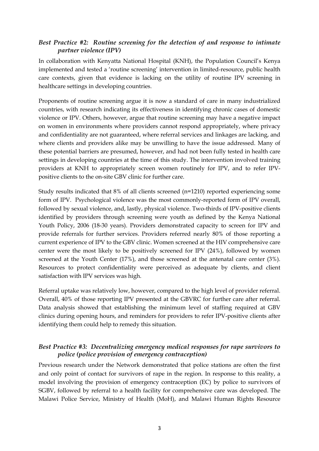## *Best Practice #2: Routine screening for the detection of and response to intimate partner violence (IPV)*

In collaboration with Kenyatta National Hospital (KNH), the Population Council's Kenya implemented and tested a 'routine screening' intervention in limited-resource, public health care contexts, given that evidence is lacking on the utility of routine IPV screening in healthcare settings in developing countries.

Proponents of routine screening argue it is now a standard of care in many industrialized countries, with research indicating its effectiveness in identifying chronic cases of domestic violence or IPV. Others, however, argue that routine screening may have a negative impact on women in environments where providers cannot respond appropriately, where privacy and confidentiality are not guaranteed, where referral services and linkages are lacking, and where clients and providers alike may be unwilling to have the issue addressed. Many of these potential barriers are presumed, however, and had not been fully tested in health care settings in developing countries at the time of this study. The intervention involved training providers at KNH to appropriately screen women routinely for IPV, and to refer IPVpositive clients to the on-site GBV clinic for further care.

Study results indicated that 8% of all clients screened (n=1210) reported experiencing some form of IPV. Psychological violence was the most commonly-reported form of IPV overall, followed by sexual violence, and, lastly, physical violence. Two-thirds of IPV-positive clients identified by providers through screening were youth as defined by the Kenya National Youth Policy, 2006 (18-30 years). Providers demonstrated capacity to screen for IPV and provide referrals for further services. Providers referred nearly 80% of those reporting a current experience of IPV to the GBV clinic. Women screened at the HIV comprehensive care center were the most likely to be positively screened for IPV (24%), followed by women screened at the Youth Center (17%), and those screened at the antenatal care center (3%). Resources to protect confidentiality were perceived as adequate by clients, and client satisfaction with IPV services was high.

Referral uptake was relatively low, however, compared to the high level of provider referral. Overall, 40% of those reporting IPV presented at the GBVRC for further care after referral. Data analysis showed that establishing the minimum level of staffing required at GBV clinics during opening hours, and reminders for providers to refer IPV-positive clients after identifying them could help to remedy this situation.

## *Best Practice #3: Decentralizing emergency medical responses for rape survivors to police (police provision of emergency contraception)*

Previous research under the Network demonstrated that police stations are often the first and only point of contact for survivors of rape in the region. In response to this reality, a model involving the provision of emergency contraception (EC) by police to survivors of SGBV, followed by referral to a health facility for comprehensive care was developed. The Malawi Police Service, Ministry of Health (MoH), and Malawi Human Rights Resource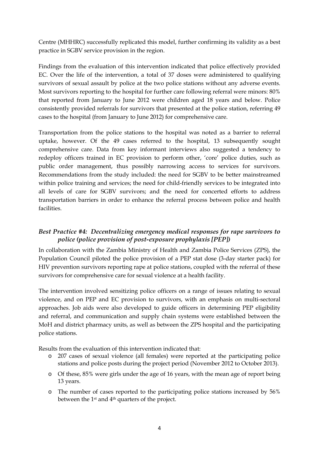Centre (MHHRC) successfully replicated this model, further confirming its validity as a best practice in SGBV service provision in the region.

Findings from the evaluation of this intervention indicated that police effectively provided EC. Over the life of the intervention, a total of 37 doses were administered to qualifying survivors of sexual assault by police at the two police stations without any adverse events. Most survivors reporting to the hospital for further care following referral were minors: 80% that reported from January to June 2012 were children aged 18 years and below. Police consistently provided referrals for survivors that presented at the police station, referring 49 cases to the hospital (from January to June 2012) for comprehensive care.

Transportation from the police stations to the hospital was noted as a barrier to referral uptake, however. Of the 49 cases referred to the hospital, 13 subsequently sought comprehensive care. Data from key informant interviews also suggested a tendency to redeploy officers trained in EC provision to perform other, 'core' police duties, such as public order management, thus possibly narrowing access to services for survivors. Recommendations from the study included: the need for SGBV to be better mainstreamed within police training and services; the need for child-friendly services to be integrated into all levels of care for SGBV survivors; and the need for concerted efforts to address transportation barriers in order to enhance the referral process between police and health facilities.

## *Best Practice #4: Decentralizing emergency medical responses for rape survivors to police (police provision of post-exposure prophylaxis [PEP])*

In collaboration with the Zambia Ministry of Health and Zambia Police Services (ZPS), the Population Council piloted the police provision of a PEP stat dose (3-day starter pack) for HIV prevention survivors reporting rape at police stations, coupled with the referral of these survivors for comprehensive care for sexual violence at a health facility.

The intervention involved sensitizing police officers on a range of issues relating to sexual violence, and on PEP and EC provision to survivors, with an emphasis on multi-sectoral approaches. Job aids were also developed to guide officers in determining PEP eligibility and referral, and communication and supply chain systems were established between the MoH and district pharmacy units, as well as between the ZPS hospital and the participating police stations.

Results from the evaluation of this intervention indicated that:

- o 207 cases of sexual violence (all females) were reported at the participating police stations and police posts during the project period (November 2012 to October 2013).
- o Of these, 85% were girls under the age of 16 years, with the mean age of report being 13 years.
- o The number of cases reported to the participating police stations increased by 56% between the 1st and 4th quarters of the project.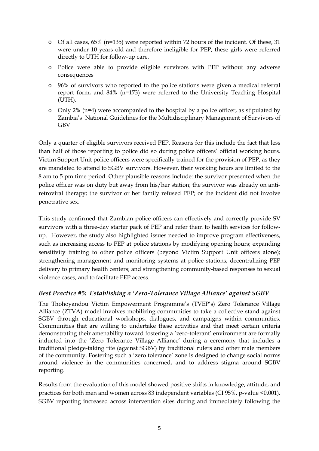- o Of all cases, 65% (n=135) were reported within 72 hours of the incident. Of these, 31 were under 10 years old and therefore ineligible for PEP; these girls were referred directly to UTH for follow-up care.
- o Police were able to provide eligible survivors with PEP without any adverse consequences
- o 96% of survivors who reported to the police stations were given a medical referral report form, and 84% (n=173) were referred to the University Teaching Hospital (UTH).
- o Only 2% (n=4) were accompanied to the hospital by a police officer, as stipulated by Zambia's National Guidelines for the Multidisciplinary Management of Survivors of GBV

Only a quarter of eligible survivors received PEP. Reasons for this include the fact that less than half of those reporting to police did so during police officers' official working hours. Victim Support Unit police officers were specifically trained for the provision of PEP, as they are mandated to attend to SGBV survivors. However, their working hours are limited to the 8 am to 5 pm time period. Other plausible reasons include: the survivor presented when the police officer was on duty but away from his/her station; the survivor was already on antiretroviral therapy; the survivor or her family refused PEP; or the incident did not involve penetrative sex.

This study confirmed that Zambian police officers can effectively and correctly provide SV survivors with a three-day starter pack of PEP and refer them to health services for followup. However, the study also highlighted issues needed to improve program effectiveness, such as increasing access to PEP at police stations by modifying opening hours; expanding sensitivity training to other police officers (beyond Victim Support Unit officers alone); strengthening management and monitoring systems at police stations; decentralizing PEP delivery to primary health centers; and strengthening community-based responses to sexual violence cases, and to facilitate PEP access.

## *Best Practice #5: Establishing a 'Zero-Tolerance Village Alliance' against SGBV*

The Thohoyandou Victim Empowerment Programme's (TVEP's) Zero Tolerance Village Alliance (ZTVA) model involves mobilizing communities to take a collective stand against SGBV through educational workshops, dialogues, and campaigns within communities. Communities that are willing to undertake these activities and that meet certain criteria demonstrating their amenability toward fostering a 'zero-tolerant' environment are formally inducted into the 'Zero Tolerance Village Alliance' during a ceremony that includes a traditional pledge-taking rite (against SGBV) by traditional rulers and other male members of the community. Fostering such a 'zero tolerance' zone is designed to change social norms around violence in the communities concerned, and to address stigma around SGBV reporting.

Results from the evaluation of this model showed positive shifts in knowledge, attitude, and practices for both men and women across 83 independent variables (CI 95%, p-value <0.001). SGBV reporting increased across intervention sites during and immediately following the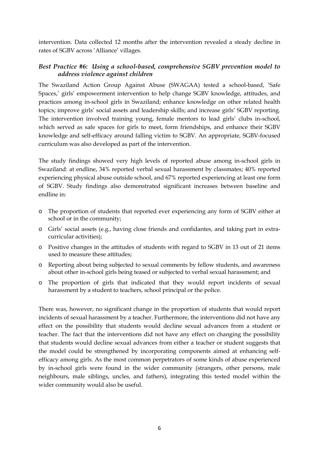intervention. Data collected 12 months after the intervention revealed a steady decline in rates of SGBV across 'Alliance' villages.

## *Best Practice #6: Using a school-based, comprehensive SGBV prevention model to address violence against children*

The Swaziland Action Group Against Abuse (SWAGAA) tested a school-based, 'Safe Spaces,' girls' empowerment intervention to help change SGBV knowledge, attitudes, and practices among in-school girls in Swaziland; enhance knowledge on other related health topics; improve girls' social assets and leadership skills; and increase girls' SGBV reporting. The intervention involved training young, female mentors to lead girls' clubs in-school, which served as safe spaces for girls to meet, form friendships, and enhance their SGBV knowledge and self-efficacy around falling victim to SGBV. An appropriate, SGBV-focused curriculum was also developed as part of the intervention.

The study findings showed very high levels of reported abuse among in-school girls in Swaziland: at endline, 34% reported verbal sexual harassment by classmates; 40% reported experiencing physical abuse outside school, and 67% reported experiencing at least one form of SGBV. Study findings also demonstrated significant increases between baseline and endline in:

- o The proportion of students that reported ever experiencing any form of SGBV either at school or in the community;
- o Girls' social assets (e.g., having close friends and confidantes, and taking part in extracurricular activities);
- o Positive changes in the attitudes of students with regard to SGBV in 13 out of 21 items used to measure these attitudes;
- o Reporting about being subjected to sexual comments by fellow students, and awareness about other in-school girls being teased or subjected to verbal sexual harassment; and
- o The proportion of girls that indicated that they would report incidents of sexual harassment by a student to teachers, school principal or the police.

There was, however, no significant change in the proportion of students that would report incidents of sexual harassment by a teacher. Furthermore, the interventions did not have any effect on the possibility that students would decline sexual advances from a student or teacher. The fact that the interventions did not have any effect on changing the possibility that students would decline sexual advances from either a teacher or student suggests that the model could be strengthened by incorporating components aimed at enhancing selfefficacy among girls. As the most common perpetrators of some kinds of abuse experienced by in-school girls were found in the wider community (strangers, other persons, male neighbours, male siblings, uncles, and fathers), integrating this tested model within the wider community would also be useful.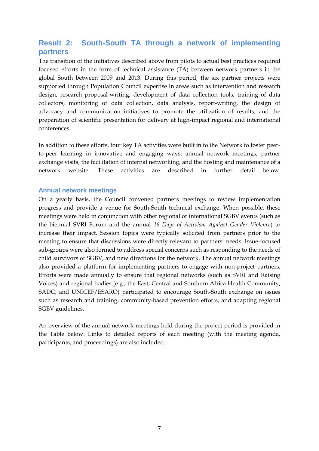## <span id="page-9-0"></span>**Result 2: South-South TA through a network of implementing partners**

The transition of the initiatives described above from pilots to actual best practices required focused efforts in the form of technical assistance (TA) between network partners in the global South between 2009 and 2013. During this period, the six partner projects were supported through Population Council expertise in areas such as intervention and research design, research proposal-writing, development of data collection tools, training of data collectors, monitoring of data collection, data analysis, report-writing, the design of advocacy and communication initiatives to promote the utilization of results, and the preparation of scientific presentation for delivery at high-impact regional and international conferences.

In addition to these efforts, four key TA activities were built in to the Network to foster peerto-peer learning in innovative and engaging ways: annual network meetings, partner exchange visits, the facilitation of internal networking, and the hosting and maintenance of a network website. These activities are described in further detail below.

#### <span id="page-9-1"></span>**Annual network meetings**

On a yearly basis, the Council convened partners meetings to review implementation progress and provide a venue for South-South technical exchange. When possible, these meetings were held in conjunction with other regional or international SGBV events (such as the biennial SVRI Forum and the annual *16 Days of Activism Against Gender Violence*) to increase their impact. Session topics were typically solicited from partners prior to the meeting to ensure that discussions were directly relevant to partners' needs. Issue-focused sub-groups were also formed to address special concerns such as responding to the needs of child survivors of SGBV, and new directions for the network. The annual network meetings also provided a platform for implementing partners to engage with non-project partners. Efforts were made annually to ensure that regional networks (such as SVRI and Raising Voices) and regional bodies (e.g., the East, Central and Southern Africa Health Community, SADC, and UNICEF/ESARO) participated to encourage South-South exchange on issues such as research and training, community-based prevention efforts, and adapting regional SGBV guidelines.

An overview of the annual network meetings held during the project period is provided in the Table below. Links to detailed reports of each meeting (with the meeting agenda, participants, and proceedings) are also included.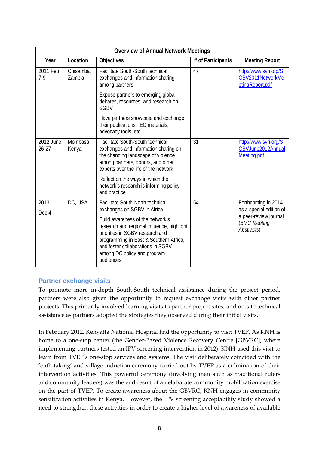| <b>Overview of Annual Network Meetings</b> |                     |                                                                                                                                                                                                                                              |                   |                                                                                |  |  |  |
|--------------------------------------------|---------------------|----------------------------------------------------------------------------------------------------------------------------------------------------------------------------------------------------------------------------------------------|-------------------|--------------------------------------------------------------------------------|--|--|--|
| Year                                       | Location            | <b>Objectives</b>                                                                                                                                                                                                                            | # of Participants | <b>Meeting Report</b>                                                          |  |  |  |
| 2011 Feb<br>$7-9$                          | Chisamba,<br>Zambia | Facilitate South-South technical<br>exchanges and information sharing<br>among partners                                                                                                                                                      | 47                | http://www.svri.org/S<br>GBV2011NetworkMe<br>etingReport.pdf                   |  |  |  |
|                                            |                     | Expose partners to emerging global<br>debates, resources, and research on<br><b>SGBV</b>                                                                                                                                                     |                   |                                                                                |  |  |  |
|                                            |                     | Have partners showcase and exchange<br>their publications, IEC materials,<br>advocacy tools, etc.                                                                                                                                            |                   |                                                                                |  |  |  |
| 2012 June<br>$26 - 27$                     | Mombasa,<br>Kenya   | Facilitate South-South technical<br>exchanges and information sharing on<br>the changing landscape of violence<br>among partners, donors, and other<br>experts over the life of the network                                                  | 31                | http://www.svri.org/S<br>GBVJune2012Annual<br>Meeting.pdf                      |  |  |  |
|                                            |                     | Reflect on the ways in which the<br>network's research is informing policy<br>and practice                                                                                                                                                   |                   |                                                                                |  |  |  |
| 2013                                       | DC, USA             | Facilitate South-North technical                                                                                                                                                                                                             | 54                | Forthcoming in 2014                                                            |  |  |  |
| Dec 4                                      |                     | exchanges on SGBV in Africa                                                                                                                                                                                                                  |                   | as a special edition of<br>a peer-review journal<br>(BMC Meeting<br>Abstracts) |  |  |  |
|                                            |                     | Build awareness of the network's<br>research and regional influence, highlight<br>priorities in SGBV research and<br>programming in East & Southern Africa,<br>and foster collaborations in SGBV<br>among DC policy and program<br>audiences |                   |                                                                                |  |  |  |

## <span id="page-10-0"></span>**Partner exchange visits**

To promote more in-depth South-South technical assistance during the project period, partners were also given the opportunity to request exchange visits with other partner projects. This primarily involved learning visits to partner project sites, and on-site technical assistance as partners adopted the strategies they observed during their initial visits.

In February 2012, Kenyatta National Hospital had the opportunity to visit TVEP. As KNH is home to a one-stop center (the Gender-Based Violence Recovery Centre [GBVRC], where implementing partners tested an IPV screening intervention in 2012), KNH used this visit to learn from TVEP's one-stop services and systems. The visit deliberately coincided with the 'oath-taking' and village induction ceremony carried out by TVEP as a culmination of their intervention activities. This powerful ceremony (involving men such as traditional rulers and community leaders) was the end result of an elaborate community mobilization exercise on the part of TVEP. To create awareness about the GBVRC, KNH engages in community sensitization activities in Kenya. However, the IPV screening acceptability study showed a need to strengthen these activities in order to create a higher level of awareness of available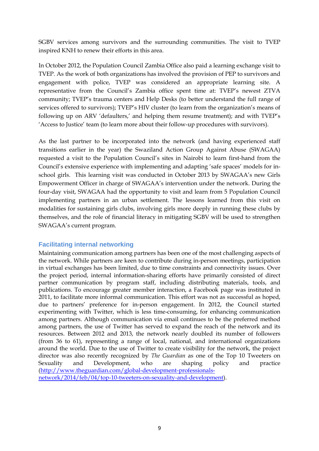SGBV services among survivors and the surrounding communities. The visit to TVEP inspired KNH to renew their efforts in this area.

In October 2012, the Population Council Zambia Office also paid a learning exchange visit to TVEP. As the work of both organizations has involved the provision of PEP to survivors and engagement with police, TVEP was considered an appropriate learning site. A representative from the Council's Zambia office spent time at: TVEP's newest ZTVA community; TVEP's trauma centers and Help Desks (to better understand the full range of services offered to survivors); TVEP's HIV cluster (to learn from the organization's means of following up on ARV 'defaulters,' and helping them resume treatment); and with TVEP's 'Access to Justice' team (to learn more about their follow-up procedures with survivors).

As the last partner to be incorporated into the network (and having experienced staff transitions earlier in the year) the Swaziland Action Group Against Abuse (SWAGAA) requested a visit to the Population Council's sites in Nairobi to learn first-hand from the Council's extensive experience with implementing and adapting 'safe spaces' models for inschool girls. This learning visit was conducted in October 2013 by SWAGAA's new Girls Empowerment Officer in charge of SWAGAA's intervention under the network. During the four-day visit, SWAGAA had the opportunity to visit and learn from 5 Population Council implementing partners in an urban settlement. The lessons learned from this visit on modalities for sustaining girls clubs, involving girls more deeply in running these clubs by themselves, and the role of financial literacy in mitigating SGBV will be used to strengthen SWAGAA's current program.

## <span id="page-11-0"></span>**Facilitating internal networking**

Maintaining communication among partners has been one of the most challenging aspects of the network. While partners are keen to contribute during in-person meetings, participation in virtual exchanges has been limited, due to time constraints and connectivity issues. Over the project period, internal information-sharing efforts have primarily consisted of direct partner communication by program staff, including distributing materials, tools, and publications. To encourage greater member interaction, a Facebook page was instituted in 2011, to facilitate more informal communication. This effort was not as successful as hoped, due to partners' preference for in-person engagement. In 2012, the Council started experimenting with Twitter, which is less time-consuming, for enhancing communication among partners. Although communication via email continues to be the preferred method among partners, the use of Twitter has served to expand the reach of the network and its resources. Between 2012 and 2013, the network nearly doubled its number of followers (from 36 to 61), representing a range of local, national, and international organizations around the world. Due to the use of Twitter to create visibility for the network, the project director was also recently recognized by *The Guardian* as one of the Top 10 Tweeters on Sexuality and Development, who are shaping policy and practice [\(http://www.theguardian.com/global-development-professionals](http://www.theguardian.com/global-development-professionals-network/2014/feb/04/top-10-tweeters-on-sexuality-and-development)[network/2014/feb/04/top-10-tweeters-on-sexuality-and-development\)](http://www.theguardian.com/global-development-professionals-network/2014/feb/04/top-10-tweeters-on-sexuality-and-development).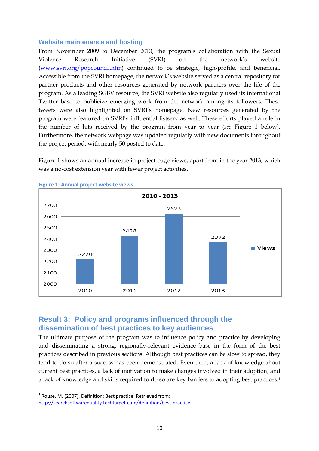#### <span id="page-12-0"></span>**Website maintenance and hosting**

From November 2009 to December 2013, the program's collaboration with the Sexual Violence Research Initiative (SVRI) on the network's website [\(www.svri.org/popcouncil.htm\)](http://www.svri.org/popcouncil.htm) continued to be strategic, high-profile, and beneficial. Accessible from the SVRI homepage, the network's website served as a central repository for partner products and other resources generated by network partners over the life of the program. As a leading SGBV resource, the SVRI website also regularly used its international Twitter base to publicize emerging work from the network among its followers. These tweets were also highlighted on SVRI's homepage. New resources generated by the program were featured on SVRI's influential listserv as well. These efforts played a role in the number of hits received by the program from year to year (*see* Figure 1 below). Furthermore, the network webpage was updated regularly with new documents throughout the project period, with nearly 50 posted to date.

Figure 1 shows an annual increase in project page views, apart from in the year 2013, which was a no-cost extension year with fewer project activities.



**Figure 1: Annual project website views** 

## <span id="page-12-1"></span>**Result 3: Policy and programs influenced through the dissemination of best practices to key audiences**

The ultimate purpose of the program was to influence policy and practice by developing and disseminating a strong, regionally-relevant evidence base in the form of the best practices described in previous sections. Although best practices can be slow to spread, they tend to do so after a success has been demonstrated. Even then, a lack of knowledge about current best practices, a lack of motivation to make changes involved in their adoption, and a lack of knowledge and skills required to do so are key barriers to adopting best practices.[1](#page-12-2)

<span id="page-12-2"></span> $1$  Rouse, M. (2007). Definition: Best practice. Retrieved from:

[http://searchsoftwarequality.techtarget.com/definition/best-practice.](http://searchsoftwarequality.techtarget.com/definition/best-practice)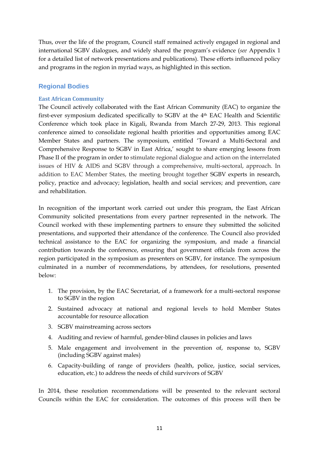Thus, over the life of the program, Council staff remained actively engaged in regional and international SGBV dialogues, and widely shared the program's evidence (*see* Appendix 1 for a detailed list of network presentations and publications). These efforts influenced policy and programs in the region in myriad ways, as highlighted in this section.

## <span id="page-13-0"></span>**Regional Bodies**

## **East African Community**

The Council actively collaborated with the East African Community (EAC) to organize the first-ever symposium dedicated specifically to SGBV at the 4th EAC Health and Scientific Conference which took place in Kigali, Rwanda from March 27-29, 2013. This regional conference aimed to consolidate regional health priorities and opportunities among EAC Member States and partners. The symposium, entitled 'Toward a Multi-Sectoral and Comprehensive Response to SGBV in East Africa,' sought to share emerging lessons from Phase II of the program in order to stimulate regional dialogue and action on the interrelated issues of HIV & AIDS and SGBV through a comprehensive, multi-sectoral, approach. In addition to EAC Member States, the meeting brought together SGBV experts in research, policy, practice and advocacy; legislation, health and social services; and prevention, care and rehabilitation.

In recognition of the important work carried out under this program, the East African Community solicited presentations from every partner represented in the network. The Council worked with these implementing partners to ensure they submitted the solicited presentations, and supported their attendance of the conference. The Council also provided technical assistance to the EAC for organizing the symposium, and made a financial contribution towards the conference, ensuring that government officials from across the region participated in the symposium as presenters on SGBV, for instance. The symposium culminated in a number of recommendations, by attendees, for resolutions, presented below:

- 1. The provision, by the EAC Secretariat, of a framework for a multi-sectoral response to SGBV in the region
- 2. Sustained advocacy at national and regional levels to hold Member States accountable for resource allocation
- 3. SGBV mainstreaming across sectors
- 4. Auditing and review of harmful, gender-blind clauses in policies and laws
- 5. Male engagement and involvement in the prevention of, response to, SGBV (including SGBV against males)
- 6. Capacity-building of range of providers (health, police, justice, social services, education, etc.) to address the needs of child survivors of SGBV

In 2014, these resolution recommendations will be presented to the relevant sectoral Councils within the EAC for consideration. The outcomes of this process will then be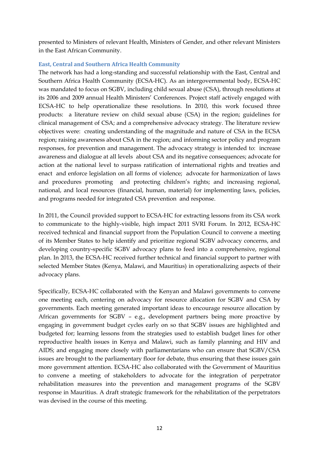presented to Ministers of relevant Health, Ministers of Gender, and other relevant Ministers in the East African Community.

## **East, Central and Southern Africa Health Community**

The network has had a long-standing and successful relationship with the East, Central and Southern Africa Health Community (ECSA-HC). As an intergovernmental body, ECSA-HC was mandated to focus on SGBV, including child sexual abuse (CSA), through resolutions at its 2006 and 2009 annual Health Ministers' Conferences. Project staff actively engaged with ECSA-HC to help operationalize these resolutions. In 2010, this work focused three products: a literature review on child sexual abuse (CSA) in the region; guidelines for clinical management of CSA; and a comprehensive advocacy strategy. The literature review objectives were: creating understanding of the magnitude and nature of CSA in the ECSA region; raising awareness about CSA in the region; and informing sector policy and program responses, for prevention and management. The advocacy strategy is intended to: increase awareness and dialogue at all levels about CSA and its negative consequences; advocate for action at the national level to surpass ratification of international rights and treaties and enact and enforce legislation on all forms of violence; advocate for harmonization of laws and procedures promoting and protecting children's rights; and increasing regional, national, and local resources (financial, human, material) for implementing laws, policies, and programs needed for integrated CSA prevention and response.

In 2011, the Council provided support to ECSA-HC for extracting lessons from its CSA work to communicate to the highly-visible, high impact 2011 SVRI Forum. In 2012, ECSA-HC received technical and financial support from the Population Council to convene a meeting of its Member States to help identify and prioritize regional SGBV advocacy concerns, and developing country-specific SGBV advocacy plans to feed into a comprehensive, regional plan. In 2013, the ECSA-HC received further technical and financial support to partner with selected Member States (Kenya, Malawi, and Mauritius) in operationalizing aspects of their advocacy plans.

Specifically, ECSA-HC collaborated with the Kenyan and Malawi governments to convene one meeting each, centering on advocacy for resource allocation for SGBV and CSA by governments. Each meeting generated important ideas to encourage resource allocation by African governments for SGBV – e.g., development partners being more proactive by engaging in government budget cycles early on so that SGBV issues are highlighted and budgeted for; learning lessons from the strategies used to establish budget lines for other reproductive health issues in Kenya and Malawi, such as family planning and HIV and AIDS; and engaging more closely with parliamentarians who can ensure that SGBV/CSA issues are brought to the parliamentary floor for debate, thus ensuring that these issues gain more government attention. ECSA-HC also collaborated with the Government of Mauritius to convene a meeting of stakeholders to advocate for the integration of perpetrator rehabilitation measures into the prevention and management programs of the SGBV response in Mauritius. A draft strategic framework for the rehabilitation of the perpetrators was devised in the course of this meeting.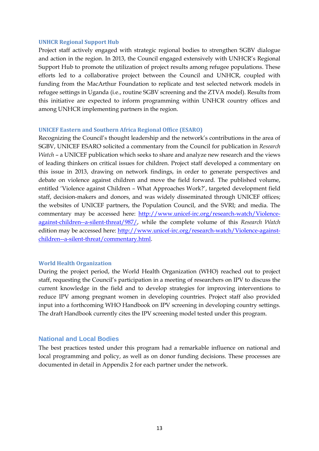#### **UNHCR Regional Support Hub**

Project staff actively engaged with strategic regional bodies to strengthen SGBV dialogue and action in the region. In 2013, the Council engaged extensively with UNHCR's Regional Support Hub to promote the utilization of project results among refugee populations. These efforts led to a collaborative project between the Council and UNHCR, coupled with funding from the MacArthur Foundation to replicate and test selected network models in refugee settings in Uganda (i.e., routine SGBV screening and the ZTVA model). Results from this initiative are expected to inform programming within UNHCR country offices and among UNHCR implementing partners in the region.

#### **UNICEF Eastern and Southern Africa Regional Office (ESARO)**

Recognizing the Council's thought leadership and the network's contributions in the area of SGBV, UNICEF ESARO solicited a commentary from the Council for publication in *Research Watch* – a UNICEF publication which seeks to share and analyze new research and the views of leading thinkers on critical issues for children. Project staff developed a commentary on this issue in 2013, drawing on network findings, in order to generate perspectives and debate on violence against children and move the field forward. The published volume, entitled 'Violence against Children – What Approaches Work?', targeted development field staff, decision-makers and donors, and was widely disseminated through UNICEF offices; the websites of UNICEF partners, the Population Council, and the SVRI; and media. The commentary may be accessed here: [http://www.unicef-irc.org/research-watch/Violence](http://www.unicef-irc.org/research-watch/Violence-against-children--a-silent-threat/987/)[against-children--a-silent-threat/987/,](http://www.unicef-irc.org/research-watch/Violence-against-children--a-silent-threat/987/) while the complete volume of this *Research Watch* edition may be accessed here: [http://www.unicef-irc.org/research-watch/Violence-against](http://www.unicef-irc.org/research-watch/Violence-against-children--a-silent-threat/commentary.html)[children--a-silent-threat/commentary.html.](http://www.unicef-irc.org/research-watch/Violence-against-children--a-silent-threat/commentary.html)

#### **World Health Organization**

During the project period, the World Health Organization (WHO) reached out to project staff, requesting the Council's participation in a meeting of researchers on IPV to discuss the current knowledge in the field and to develop strategies for improving interventions to reduce IPV among pregnant women in developing countries. Project staff also provided input into a forthcoming WHO Handbook on IPV screening in developing country settings. The draft Handbook currently cites the IPV screening model tested under this program.

#### <span id="page-15-0"></span>**National and Local Bodies**

The best practices tested under this program had a remarkable influence on national and local programming and policy, as well as on donor funding decisions. These processes are documented in detail in Appendix 2 for each partner under the network.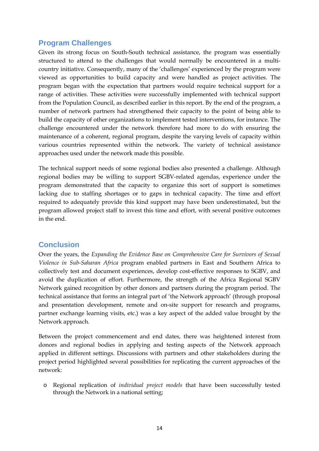## <span id="page-16-0"></span>**Program Challenges**

Given its strong focus on South-South technical assistance, the program was essentially structured to attend to the challenges that would normally be encountered in a multicountry initiative. Consequently, many of the 'challenges' experienced by the program were viewed as opportunities to build capacity and were handled as project activities. The program began with the expectation that partners would require technical support for a range of activities. These activities were successfully implemented with technical support from the Population Council, as described earlier in this report. By the end of the program, a number of network partners had strengthened their capacity to the point of being able to build the capacity of other organizations to implement tested interventions, for instance. The challenge encountered under the network therefore had more to do with ensuring the maintenance of a coherent, regional program, despite the varying levels of capacity within various countries represented within the network. The variety of technical assistance approaches used under the network made this possible.

The technical support needs of some regional bodies also presented a challenge. Although regional bodies may be willing to support SGBV-related agendas, experience under the program demonstrated that the capacity to organize this sort of support is sometimes lacking due to staffing shortages or to gaps in technical capacity. The time and effort required to adequately provide this kind support may have been underestimated, but the program allowed project staff to invest this time and effort, with several positive outcomes in the end.

## <span id="page-16-1"></span>**Conclusion**

Over the years, the *Expanding the Evidence Base on Comprehensive Care for Survivors of Sexual Violence in Sub-Saharan Africa* program enabled partners in East and Southern Africa to collectively test and document experiences, develop cost-effective responses to SGBV, and avoid the duplication of effort. Furthermore, the strength of the Africa Regional SGBV Network gained recognition by other donors and partners during the program period. The technical assistance that forms an integral part of 'the Network approach' (through proposal and presentation development, remote and on-site support for research and programs, partner exchange learning visits, etc.) was a key aspect of the added value brought by the Network approach.

Between the project commencement and end dates, there was heightened interest from donors and regional bodies in applying and testing aspects of the Network approach applied in different settings. Discussions with partners and other stakeholders during the project period highlighted several possibilities for replicating the current approaches of the network:

o Regional replication of *individual project models* that have been successfully tested through the Network in a national setting;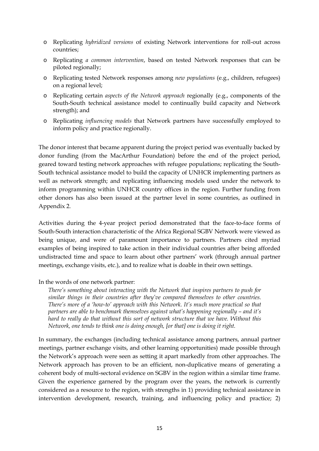- o Replicating *hybridized versions* of existing Network interventions for roll-out across countries;
- o Replicating *a common intervention*, based on tested Network responses that can be piloted regionally;
- o Replicating tested Network responses among *new populations* (e.g., children, refugees) on a regional level;
- o Replicating certain *aspects of the Network approach* regionally (e.g., components of the South-South technical assistance model to continually build capacity and Network strength); and
- o Replicating *influencing models* that Network partners have successfully employed to inform policy and practice regionally.

The donor interest that became apparent during the project period was eventually backed by donor funding (from the MacArthur Foundation) before the end of the project period, geared toward testing network approaches with refugee populations; replicating the South-South technical assistance model to build the capacity of UNHCR implementing partners as well as network strength; and replicating influencing models used under the network to inform programming within UNHCR country offices in the region. Further funding from other donors has also been issued at the partner level in some countries, as outlined in Appendix 2.

Activities during the 4-year project period demonstrated that the face-to-face forms of South-South interaction characteristic of the Africa Regional SGBV Network were viewed as being unique, and were of paramount importance to partners. Partners cited myriad examples of being inspired to take action in their individual countries after being afforded undistracted time and space to learn about other partners' work (through annual partner meetings, exchange visits, etc.), and to realize what is doable in their own settings.

In the words of one network partner:

*There's something about interacting with the Network that inspires partners to push for similar things in their countries after they've compared themselves to other countries. There's more of a 'how-to' approach with this Network. It's much more practical so that partners are able to benchmark themselves against what's happening regionally – and it's hard to really do that without this sort of network structure that we have. Without this Network, one tends to think one is doing enough, [or that] one is doing it right.*

In summary, the exchanges (including technical assistance among partners, annual partner meetings, partner exchange visits, and other learning opportunities) made possible through the Network's approach were seen as setting it apart markedly from other approaches. The Network approach has proven to be an efficient, non-duplicative means of generating a coherent body of multi-sectoral evidence on SGBV in the region within a similar time frame. Given the experience garnered by the program over the years, the network is currently considered as a resource to the region, with strengths in 1) providing technical assistance in intervention development, research, training, and influencing policy and practice; 2)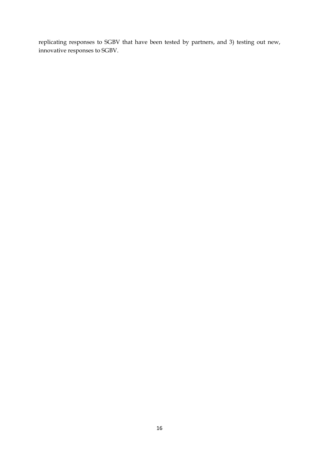replicating responses to SGBV that have been tested by partners, and 3) testing out new, innovative responses to SGBV.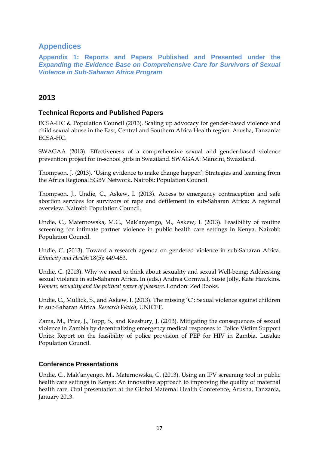## <span id="page-19-0"></span>**Appendices**

<span id="page-19-1"></span>**Appendix 1: Reports and Papers Published and Presented under the**  *Expanding the Evidence Base on Comprehensive Care for Survivors of Sexual Violence in Sub-Saharan Africa Program*

## **2013**

## **Technical Reports and Published Papers**

ECSA-HC & Population Council (2013). Scaling up advocacy for gender-based violence and child sexual abuse in the East, Central and Southern Africa Health region. Arusha, Tanzania: ECSA-HC.

SWAGAA (2013). Effectiveness of a comprehensive sexual and gender-based violence prevention project for in-school girls in Swaziland. SWAGAA: Manzini, Swaziland.

Thompson, J. (2013). 'Using evidence to make change happen': Strategies and learning from the Africa Regional SGBV Network. Nairobi: Population Council.

Thompson, J., Undie, C., Askew, I. (2013). Access to emergency contraception and safe abortion services for survivors of rape and defilement in sub-Saharan Africa: A regional overview. Nairobi: Population Council.

Undie, C., Maternowska, M.C., Mak'anyengo, M., Askew, I. (2013). Feasibility of routine screening for intimate partner violence in public health care settings in Kenya. Nairobi: Population Council.

Undie, C. (2013). Toward a research agenda on gendered violence in sub-Saharan Africa. *Ethnicity and Health* 18(5): 449-453.

Undie, C. (2013). Why we need to think about sexuality and sexual Well-being: Addressing sexual violence in sub-Saharan Africa. In (eds.) Andrea Cornwall, Susie Jolly, Kate Hawkins. *Women, sexuality and the political power of pleasure*. London: Zed Books.

Undie, C., Mullick, S., and Askew, I. (2013). The missing 'C': Sexual violence against children in sub-Saharan Africa. *Research Watch*, UNICEF.

Zama, M., Price, J., Topp, S., and Keesbury, J. (2013). Mitigating the consequences of sexual violence in Zambia by decentralizing emergency medical responses to Police Victim Support Units: Report on the feasibility of police provision of PEP for HIV in Zambia. Lusaka: Population Council.

## **Conference Presentations**

Undie, C., Mak'anyengo, M., Maternowska, C. (2013). Using an IPV screening tool in public health care settings in Kenya: An innovative approach to improving the quality of maternal health care. Oral presentation at the Global Maternal Health Conference, Arusha, Tanzania, January 2013.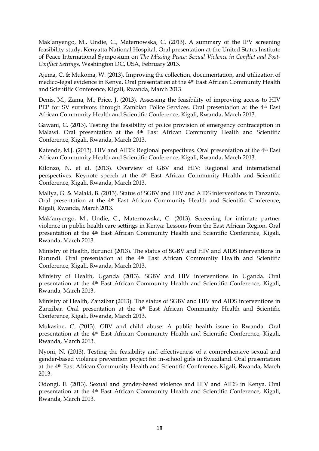Mak'anyengo, M., Undie, C., Maternowska, C. (2013). A summary of the IPV screening feasibility study, Kenyatta National Hospital. Oral presentation at the United States Institute of Peace International Symposium on *The Missing Peace: Sexual Violence in Conflict and Post-Conflict Settings*, Washington DC, USA, February 2013.

Ajema, C. & Mukoma, W. (2013). Improving the collection, documentation, and utilization of medico-legal evidence in Kenya. Oral presentation at the 4th East African Community Health and Scientific Conference, Kigali, Rwanda, March 2013.

Denis, M., Zama, M., Price, J. (2013). Assessing the feasibility of improving access to HIV PEP for SV survivors through Zambian Police Services. Oral presentation at the 4<sup>th</sup> East African Community Health and Scientific Conference, Kigali, Rwanda, March 2013.

Gawani, C. (2013). Testing the feasibility of police provision of emergency contraception in Malawi. Oral presentation at the 4th East African Community Health and Scientific Conference, Kigali, Rwanda, March 2013.

Katende, M.J. (2013). HIV and AIDS: Regional perspectives. Oral presentation at the 4th East African Community Health and Scientific Conference, Kigali, Rwanda, March 2013.

Kilonzo, N. et al. (2013). Overview of GBV and HIV: Regional and international perspectives. Keynote speech at the 4th East African Community Health and Scientific Conference, Kigali, Rwanda, March 2013.

Mallya, G. & Malaki, B. (2013). Status of SGBV and HIV and AIDS interventions in Tanzania. Oral presentation at the 4<sup>th</sup> East African Community Health and Scientific Conference, Kigali, Rwanda, March 2013.

Mak'anyengo, M., Undie, C., Maternowska, C. (2013). Screening for intimate partner violence in public health care settings in Kenya: Lessons from the East African Region. Oral presentation at the 4<sup>th</sup> East African Community Health and Scientific Conference, Kigali, Rwanda, March 2013.

Ministry of Health, Burundi (2013). The status of SGBV and HIV and AIDS interventions in Burundi. Oral presentation at the 4th East African Community Health and Scientific Conference, Kigali, Rwanda, March 2013.

Ministry of Health, Uganda (2013). SGBV and HIV interventions in Uganda. Oral presentation at the 4<sup>th</sup> East African Community Health and Scientific Conference, Kigali, Rwanda, March 2013.

Ministry of Health, Zanzibar (2013). The status of SGBV and HIV and AIDS interventions in Zanzibar. Oral presentation at the 4<sup>th</sup> East African Community Health and Scientific Conference, Kigali, Rwanda, March 2013.

Mukasine, C. (2013). GBV and child abuse: A public health issue in Rwanda. Oral presentation at the 4th East African Community Health and Scientific Conference, Kigali, Rwanda, March 2013.

Nyoni, N. (2013). Testing the feasibility and effectiveness of a comprehensive sexual and gender-based violence prevention project for in-school girls in Swaziland. Oral presentation at the 4th East African Community Health and Scientific Conference, Kigali, Rwanda, March 2013.

Odongi, E. (2013). Sexual and gender-based violence and HIV and AIDS in Kenya. Oral presentation at the 4<sup>th</sup> East African Community Health and Scientific Conference, Kigali, Rwanda, March 2013.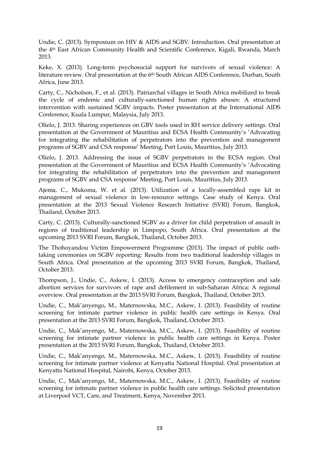Undie, C. (2013). Symposium on HIV & AIDS and SGBV: Introduction. Oral presentation at the 4th East African Community Health and Scientific Conference, Kigali, Rwanda, March 2013.

Keke, X. (2013). Long-term psychosocial support for survivors of sexual violence: A literature review. Oral presentation at the 6th South African AIDS Conference, Durban, South Africa, June 2013.

Carty, C., Nicholson, F., et al. (2013). Patriarchal villages in South Africa mobilized to break the cycle of endemic and culturally-sanctioned human rights abuses: A structured intervention with sustained SGBV impacts. Poster presentation at the International AIDS Conference, Kuala Lumpur, Malaysia, July 2013.

Olielo, J. 2013. Sharing experiences on GBV tools used in RH service delivery settings. Oral presentation at the Government of Mauritius and ECSA Health Community's 'Advocating for integrating the rehabilitation of perpetrators into the prevention and management programs of SGBV and CSA response' Meeting, Port Louis, Mauritius, July 2013.

Olielo, J. 2013. Addressing the issue of SGBV perpetrators in the ECSA region. Oral presentation at the Government of Mauritius and ECSA Health Community's 'Advocating for integrating the rehabilitation of perpetrators into the prevention and management programs of SGBV and CSA response' Meeting, Port Louis, Mauritius, July 2013.

Ajema, C., Mukoma, W. et al. (2013). Utilization of a locally-assembled rape kit in management of sexual violence in low-resource settings. Case study of Kenya. Oral presentation at the 2013 Sexual Violence Research Initiative (SVRI) Forum, Bangkok, Thailand, October 2013.

Carty, C. (2013). Culturally-sanctioned SGBV as a driver for child perpetration of assault in regions of traditional leadership in Limpopo, South Africa. Oral presentation at the upcoming 2013 SVRI Forum, Bangkok, Thailand, October 2013.

The Thohoyandou Victim Empowerment Programme (2013). The impact of public oathtaking ceremonies on SGBV reporting: Results from two traditional leadership villages in South Africa. Oral presentation at the upcoming 2013 SVRI Forum, Bangkok, Thailand, October 2013.

Thompson, J., Undie, C., Askew, I. (2013). Access to emergency contraception and safe abortion services for survivors of rape and defilement in sub-Saharan Africa: A regional overview. Oral presentation at the 2013 SVRI Forum, Bangkok, Thailand, October 2013.

Undie, C., Mak'anyengo, M., Maternowska, M.C., Askew, I. (2013). Feasibility of routine screening for intimate partner violence in public health care settings in Kenya. Oral presentation at the 2013 SVRI Forum, Bangkok, Thailand, October 2013.

Undie, C., Mak'anyengo, M., Maternowska, M.C., Askew, I. (2013). Feasibility of routine screening for intimate partner violence in public health care settings in Kenya. Poster presentation at the 2013 SVRI Forum, Bangkok, Thailand, October 2013.

Undie, C., Mak'anyengo, M., Maternowska, M.C., Askew, I. (2013). Feasibility of routine screening for intimate partner violence at Kenyatta National Hospital. Oral presentation at Kenyatta National Hospital, Nairobi, Kenya, October 2013.

Undie, C., Mak'anyengo, M., Maternowska, M.C., Askew, I. (2013). Feasibility of routine screening for intimate partner violence in public health care settings. Solicited presentation at Liverpool VCT, Care, and Treatment, Kenya, November 2013.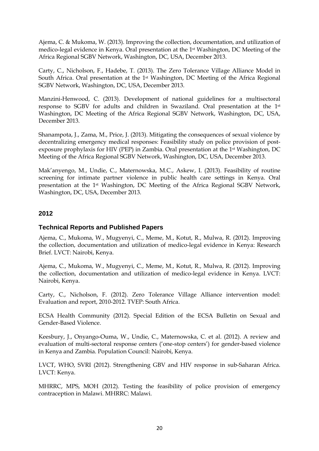Ajema, C. & Mukoma, W. (2013). Improving the collection, documentation, and utilization of medico-legal evidence in Kenya. Oral presentation at the 1st Washington, DC Meeting of the Africa Regional SGBV Network, Washington, DC, USA, December 2013.

Carty, C., Nicholson, F., Hadebe, T. (2013). The Zero Tolerance Village Alliance Model in South Africa. Oral presentation at the 1st Washington, DC Meeting of the Africa Regional SGBV Network, Washington, DC, USA, December 2013.

Manzini-Henwood, C. (2013). Development of national guidelines for a multisectoral response to SGBV for adults and children in Swaziland. Oral presentation at the 1st Washington, DC Meeting of the Africa Regional SGBV Network, Washington, DC, USA, December 2013.

Shanampota, J., Zama, M., Price, J. (2013). Mitigating the consequences of sexual violence by decentralizing emergency medical responses: Feasibility study on police provision of postexposure prophylaxis for HIV (PEP) in Zambia. Oral presentation at the 1st Washington, DC Meeting of the Africa Regional SGBV Network, Washington, DC, USA, December 2013.

Mak'anyengo, M., Undie, C., Maternowska, M.C., Askew, I. (2013). Feasibility of routine screening for intimate partner violence in public health care settings in Kenya. Oral presentation at the 1st Washington, DC Meeting of the Africa Regional SGBV Network, Washington, DC, USA, December 2013.

## **2012**

## **Technical Reports and Published Papers**

Ajema, C., Mukoma, W., Mugyenyi, C., Meme, M., Kotut, R., Mulwa, R. (2012). Improving the collection, documentation and utilization of medico-legal evidence in Kenya: Research Brief. LVCT: Nairobi, Kenya.

Ajema, C., Mukoma, W., Mugyenyi, C., Meme, M., Kotut, R., Mulwa, R. (2012). Improving the collection, documentation and utilization of medico-legal evidence in Kenya. LVCT: Nairobi, Kenya.

Carty, C., Nicholson, F. (2012). Zero Tolerance Village Alliance intervention model: Evaluation and report, 2010-2012. TVEP: South Africa.

ECSA Health Community (2012). Special Edition of the ECSA Bulletin on Sexual and Gender-Based Violence.

Keesbury, J., Onyango-Ouma, W., Undie, C., Maternowska, C. et al. (2012). A review and evaluation of multi-sectoral response centers ('one-stop centers') for gender-based violence in Kenya and Zambia. Population Council: Nairobi, Kenya.

LVCT, WHO, SVRI (2012). Strengthening GBV and HIV response in sub-Saharan Africa. LVCT: Kenya.

MHRRC, MPS, MOH (2012). Testing the feasibility of police provision of emergency contraception in Malawi. MHRRC: Malawi.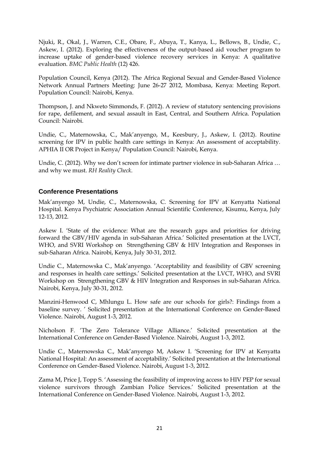Njuki, R., Okal, J., Warren, C.E., Obare, F., Abuya, T., Kanya, L., Bellows, B., Undie, C., Askew, I. (2012). Exploring the effectiveness of the output-based aid voucher program to increase uptake of gender-based violence recovery services in Kenya: A qualitative evaluation. *BMC Public Health* (12) 426.

Population Council, Kenya (2012). The Africa Regional Sexual and Gender-Based Violence Network Annual Partners Meeting: June 26-27 2012, Mombasa, Kenya: Meeting Report. Population Council: Nairobi, Kenya.

Thompson, J. and Nkweto Simmonds, F. (2012). A review of statutory sentencing provisions for rape, defilement, and sexual assault in East, Central, and Southern Africa. Population Council: Nairobi.

Undie, C., Maternowska, C., Mak'anyengo, M., Keesbury, J., Askew, I. (2012). Routine screening for IPV in public health care settings in Kenya: An assessment of acceptability. APHIA II OR Project in Kenya/ Population Council: Nairobi, Kenya.

Undie, C. (2012). Why we don't screen for intimate partner violence in sub-Saharan Africa … and why we must. *RH Reality Check*.

## **Conference Presentations**

Mak'anyengo M, Undie, C., Maternowska, C. Screening for IPV at Kenyatta National Hospital. Kenya Psychiatric Association Annual Scientific Conference, Kisumu, Kenya, July 12-13, 2012.

Askew I. 'State of the evidence: What are the research gaps and priorities for driving forward the GBV/HIV agenda in sub-Saharan Africa.' Solicited presentation at the LVCT, WHO, and SVRI Workshop on Strengthening GBV & HIV Integration and Responses in sub-Saharan Africa. Nairobi, Kenya, July 30-31, 2012.

Undie C., Maternowska C., Mak'anyengo. 'Acceptability and feasibility of GBV screening and responses in health care settings.' Solicited presentation at the LVCT, WHO, and SVRI Workshop on Strengthening GBV & HIV Integration and Responses in sub-Saharan Africa. Nairobi, Kenya, July 30-31, 2012.

Manzini-Henwood C, Mhlungu L. How safe are our schools for girls?: Findings from a baseline survey. ' Solicited presentation at the International Conference on Gender-Based Violence. Nairobi, August 1-3, 2012.

Nicholson F. 'The Zero Tolerance Village Alliance.' Solicited presentation at the International Conference on Gender-Based Violence. Nairobi, August 1-3, 2012.

Undie C., Maternowska C., Mak'anyengo M, Askew I. 'Screening for IPV at Kenyatta National Hospital: An assessment of acceptability.' Solicited presentation at the International Conference on Gender-Based Violence. Nairobi, August 1-3, 2012.

Zama M, Price J, Topp S. 'Assessing the feasibility of improving access to HIV PEP for sexual violence survivors through Zambian Police Services.' Solicited presentation at the International Conference on Gender-Based Violence. Nairobi, August 1-3, 2012.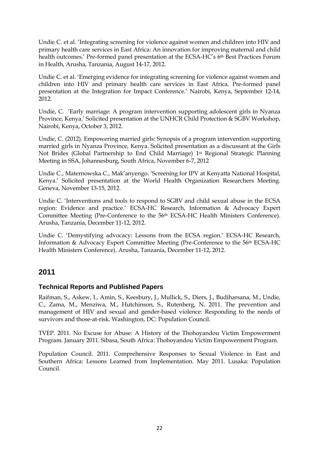Undie C. et al. 'Integrating screening for violence against women and children into HIV and primary health care services in East Africa: An innovation for improving maternal and child health outcomes.' Pre-formed panel presentation at the ECSA-HC's 6th Best Practices Forum in Health, Arusha, Tanzania, August 14-17, 2012.

Undie C. et al. 'Emerging evidence for integrating screening for violence against women and children into HIV and primary health care services in East Africa. Pre-formed panel presentation at the Integration for Impact Conference.' Nairobi, Kenya, September 12-14, 2012.

Undie, C. 'Early marriage: A program intervention supporting adolescent girls in Nyanza Province, Kenya.' Solicited presentation at the UNHCR Child Protection & SGBV Workshop, Nairobi, Kenya, October 3, 2012.

Undie, C. (2012). Empowering married girls: Synopsis of a program intervention supporting married girls in Nyanza Province, Kenya. Solicited presentation as a discussant at the Girls Not Brides (Global Partnership to End Child Marriage) 1st Regional Strategic Planning Meeting in SSA, Johannesburg, South Africa, November 6-7, 2012

Undie C., Maternowska C., Mak'anyengo. 'Screening for IPV at Kenyatta National Hospital, Kenya.' Solicited presentation at the World Health Organization Researchers Meeting. Geneva, November 13-15, 2012.

Undie C. 'Interventions and tools to respond to SGBV and child sexual abuse in the ECSA region: Evidence and practice.' ECSA-HC Research, Information & Advocacy Expert Committee Meeting (Pre-Conference to the 56th ECSA-HC Health Ministers Conference). Arusha, Tanzania, December 11-12, 2012.

Undie C. 'Demystifying advocacy: Lessons from the ECSA region.' ECSA-HC Research, Information & Advocacy Expert Committee Meeting (Pre-Conference to the 56th ECSA-HC Health Ministers Conference). Arusha, Tanzania, December 11-12, 2012.

## **2011**

## **Technical Reports and Published Papers**

Raifman, S., Askew, I., Amin, S., Keesbury, J., Mullick, S., Diers, J., Budiharsana, M., Undie, C., Zama, M., Menziwa, M., Hutchinson, S., Rutenberg, N. 2011. The prevention and management of HIV and sexual and gender-based violence: Responding to the needs of survivors and those-at-risk. Washington, DC: Population Council.

TVEP. 2011. No Excuse for Abuse: A History of the Thohoyandou Victim Empowerment Program. January 2011. Sibasa, South Africa: Thohoyandou Victim Empowerment Program.

Population Council. 2011. Comprehensive Responses to Sexual Violence in East and Southern Africa: Lessons Learned from Implementation. May 2011. Lusaka: Population Council.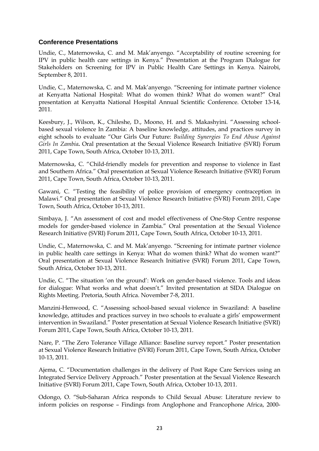## **Conference Presentations**

Undie, C., Maternowska, C. and M. Mak'anyengo. "Acceptability of routine screening for IPV in public health care settings in Kenya." Presentation at the Program Dialogue for Stakeholders on Screening for IPV in Public Health Care Settings in Kenya. Nairobi, September 8, 2011.

Undie, C., Maternowska, C. and M. Mak'anyengo. "Screening for intimate partner violence at Kenyatta National Hospital: What do women think? What do women want?" Oral presentation at Kenyatta National Hospital Annual Scientific Conference. October 13-14, 2011.

Keesbury, J., Wilson, K., Chileshe, D., Moono, H. and S. Makashyini. "Assessing schoolbased sexual violence In Zambia: A baseline knowledge, attitudes, and practices survey in eight schools to evaluate "Our Girls Our Future: *Building Synergies To End Abuse Against Girls In Zambia***.** Oral presentation at the Sexual Violence Research Initiative (SVRI) Forum 2011, Cape Town, South Africa, October 10-13, 2011.

Maternowska, C. "Child-friendly models for prevention and response to violence in East and Southern Africa." Oral presentation at Sexual Violence Research Initiative (SVRI) Forum 2011, Cape Town, South Africa, October 10-13, 2011.

Gawani, C. "Testing the feasibility of police provision of emergency contraception in Malawi." Oral presentation at Sexual Violence Research Initiative (SVRI) Forum 2011, Cape Town, South Africa, October 10-13, 2011.

Simbaya, J. "An assessment of cost and model effectiveness of One-Stop Centre response models for gender-based violence in Zambia." Oral presentation at the Sexual Violence Research Initiative (SVRI) Forum 2011, Cape Town, South Africa, October 10-13, 2011.

Undie, C., Maternowska, C. and M. Mak'anyengo. "Screening for intimate partner violence in public health care settings in Kenya: What do women think? What do women want?" Oral presentation at Sexual Violence Research Initiative (SVRI) Forum 2011, Cape Town, South Africa, October 10-13, 2011.

Undie, C. "The situation 'on the ground': Work on gender-based violence. Tools and ideas for dialogue: What works and what doesn't." Invited presentation at SIDA Dialogue on Rights Meeting. Pretoria, South Africa. November 7-8, 2011.

Manzini-Henwood, C. "Assessing school-based sexual violence in Swaziland: A baseline knowledge, attitudes and practices survey in two schools to evaluate a girls' empowerment intervention in Swaziland." Poster presentation at Sexual Violence Research Initiative (SVRI) Forum 2011, Cape Town, South Africa, October 10-13, 2011.

Nare, P. "The Zero Tolerance Village Alliance: Baseline survey report." Poster presentation at Sexual Violence Research Initiative (SVRI) Forum 2011, Cape Town, South Africa, October 10-13, 2011.

Ajema, C. "Documentation challenges in the delivery of Post Rape Care Services using an Integrated Service Delivery Approach." Poster presentation at the Sexual Violence Research Initiative (SVRI) Forum 2011, Cape Town, South Africa, October 10-13, 2011.

Odongo, O. "Sub-Saharan Africa responds to Child Sexual Abuse: Literature review to inform policies on response – Findings from Anglophone and Francophone Africa, 2000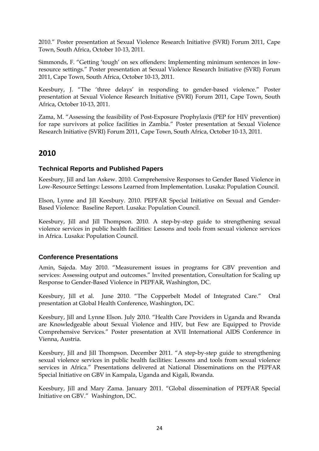2010." Poster presentation at Sexual Violence Research Initiative (SVRI) Forum 2011, Cape Town, South Africa, October 10-13, 2011.

Simmonds, F. "Getting 'tough' on sex offenders: Implementing minimum sentences in lowresource settings." Poster presentation at Sexual Violence Research Initiative (SVRI) Forum 2011, Cape Town, South Africa, October 10-13, 2011.

Keesbury, J. "The 'three delays' in responding to gender-based violence." Poster presentation at Sexual Violence Research Initiative (SVRI) Forum 2011, Cape Town, South Africa, October 10-13, 2011.

Zama, M. "Assessing the feasibility of Post-Exposure Prophylaxis (PEP for HIV prevention) for rape survivors at police facilities in Zambia." Poster presentation at Sexual Violence Research Initiative (SVRI) Forum 2011, Cape Town, South Africa, October 10-13, 2011.

## **2010**

## **Technical Reports and Published Papers**

Keesbury, Jill and Ian Askew. 2010. Comprehensive Responses to Gender Based Violence in Low-Resource Settings: Lessons Learned from Implementation. Lusaka: Population Council.

Elson, Lynne and Jill Keesbury. 2010. PEPFAR Special Initiative on Sexual and Gender-Based Violence: Baseline Report. Lusaka: Population Council.

Keesbury, Jill and Jill Thompson. 2010. A step-by-step guide to strengthening sexual violence services in public health facilities: Lessons and tools from sexual violence services in Africa. Lusaka: Population Council.

## **Conference Presentations**

Amin, Sajeda. May 2010. "Measurement issues in programs for GBV prevention and services: Assessing output and outcomes." Invited presentation, Consultation for Scaling up Response to Gender-Based Violence in PEPFAR, Washington, DC.

Keesbury, Jill et al. June 2010. "The Copperbelt Model of Integrated Care." Oral presentation at Global Health Conference, Washington, DC.

Keesbury, Jill and Lynne Elson. July 2010. "Health Care Providers in Uganda and Rwanda are Knowledgeable about Sexual Violence and HIV, but Few are Equipped to Provide Comprehensive Services." Poster presentation at XVII International AIDS Conference in Vienna, Austria.

Keesbury, Jill and Jill Thompson. December 2011. "A step-by-step guide to strengthening sexual violence services in public health facilities: Lessons and tools from sexual violence services in Africa." Presentations delivered at National Disseminations on the PEPFAR Special Initiative on GBV in Kampala, Uganda and Kigali, Rwanda.

Keesbury, Jill and Mary Zama. January 2011. "Global dissemination of PEPFAR Special Initiative on GBV." Washington, DC.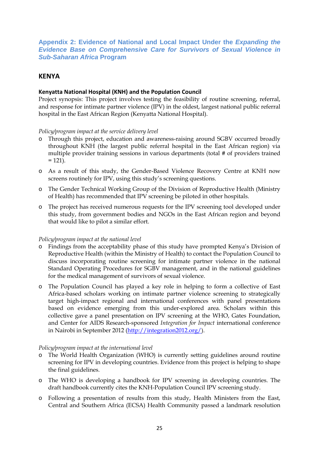<span id="page-27-0"></span>**Appendix 2: Evidence of National and Local Impact Under the** *Expanding the Evidence Base on Comprehensive Care for Survivors of Sexual Violence in Sub-Saharan Africa* **Program**

## **KENYA**

## **Kenyatta National Hospital (KNH) and the Population Council**

Project synopsis: This project involves testing the feasibility of routine screening, referral, and response for intimate partner violence (IPV) in the oldest, largest national public referral hospital in the East African Region (Kenyatta National Hospital).

#### *Policy/program impact at the service delivery level*

- o Through this project, education and awareness-raising around SGBV occurred broadly throughout KNH (the largest public referral hospital in the East African region) via multiple provider training sessions in various departments (total # of providers trained  $= 121$ ).
- o As a result of this study, the Gender-Based Violence Recovery Centre at KNH now screens routinely for IPV, using this study's screening questions.
- o The Gender Technical Working Group of the Division of Reproductive Health (Ministry of Health) has recommended that IPV screening be piloted in other hospitals.
- o The project has received numerous requests for the IPV screening tool developed under this study, from government bodies and NGOs in the East African region and beyond that would like to pilot a similar effort.

#### *Policy/program impact at the national level*

- o Findings from the acceptability phase of this study have prompted Kenya's Division of Reproductive Health (within the Ministry of Health) to contact the Population Council to discuss incorporating routine screening for intimate partner violence in the national Standard Operating Procedures for SGBV management, and in the national guidelines for the medical management of survivors of sexual violence.
- o The Population Council has played a key role in helping to form a collective of East Africa-based scholars working on intimate partner violence screening to strategically target high-impact regional and international conferences with panel presentations based on evidence emerging from this under-explored area. Scholars within this collective gave a panel presentation on IPV screening at the WHO, Gates Foundation, and Center for AIDS Research-sponsored *Integration for Impact* international conference in Nairobi in September 2012 [\(http://integration2012.org/\)](http://integration2012.org/).

#### *Policy/program impact at the international level*

- o The World Health Organization (WHO) is currently setting guidelines around routine screening for IPV in developing countries. Evidence from this project is helping to shape the final guidelines.
- o The WHO is developing a handbook for IPV screening in developing countries. The draft handbook currently cites the KNH-Population Council IPV screening study.
- o Following a presentation of results from this study, Health Ministers from the East, Central and Southern Africa (ECSA) Health Community passed a landmark resolution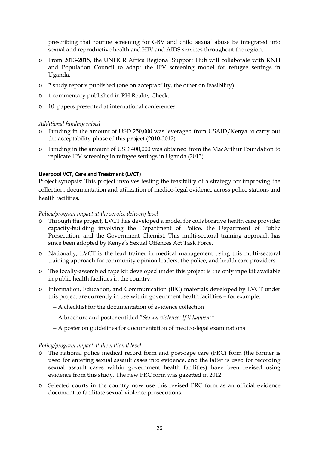prescribing that routine screening for GBV and child sexual abuse be integrated into sexual and reproductive health and HIV and AIDS services throughout the region.

- o From 2013-2015, the UNHCR Africa Regional Support Hub will collaborate with KNH and Population Council to adapt the IPV screening model for refugee settings in Uganda.
- o 2 study reports published (one on acceptability, the other on feasibility)
- o 1 commentary published in RH Reality Check.
- o 10 papers presented at international conferences

#### *Additional funding raised*

- o Funding in the amount of USD 250,000 was leveraged from USAID/Kenya to carry out the acceptability phase of this project (2010-2012)
- o Funding in the amount of USD 400,000 was obtained from the MacArthur Foundation to replicate IPV screening in refugee settings in Uganda (2013)

#### **Liverpool VCT, Care and Treatment (LVCT)**

Project synopsis: This project involves testing the feasibility of a strategy for improving the collection, documentation and utilization of medico-legal evidence across police stations and health facilities.

#### *Policy/program impact at the service delivery level*

- o Through this project, LVCT has developed a model for collaborative health care provider capacity-building involving the Department of Police, the Department of Public Prosecution, and the Government Chemist. This multi-sectoral training approach has since been adopted by Kenya's Sexual Offences Act Task Force.
- o Nationally, LVCT is the lead trainer in medical management using this multi-sectoral training approach for community opinion leaders, the police, and health care providers.
- o The locally-assembled rape kit developed under this project is the only rape kit available in public health facilities in the country.
- o Information, Education, and Communication (IEC) materials developed by LVCT under this project are currently in use within government health facilities – for example:
	- A checklist for the documentation of evidence collection
	- A brochure and poster entitled "*Sexual violence: If it happens"*
	- A poster on guidelines for documentation of medico-legal examinations

#### *Policy/program impact at the national level*

- o The national police medical record form and post-rape care (PRC) form (the former is used for entering sexual assault cases into evidence, and the latter is used for recording sexual assault cases within government health facilities) have been revised using evidence from this study. The new PRC form was gazetted in 2012.
- o Selected courts in the country now use this revised PRC form as an official evidence document to facilitate sexual violence prosecutions.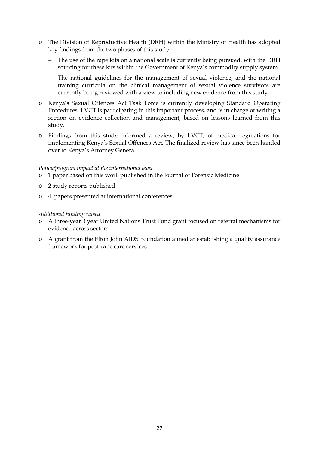- o The Division of Reproductive Health (DRH) within the Ministry of Health has adopted key findings from the two phases of this study:
	- The use of the rape kits on a national scale is currently being pursued, with the DRH sourcing for these kits within the Government of Kenya's commodity supply system.
	- The national guidelines for the management of sexual violence, and the national training curricula on the clinical management of sexual violence survivors are currently being reviewed with a view to including new evidence from this study.
- o Kenya's Sexual Offences Act Task Force is currently developing Standard Operating Procedures. LVCT is participating in this important process, and is in charge of writing a section on evidence collection and management, based on lessons learned from this study.
- o Findings from this study informed a review, by LVCT, of medical regulations for implementing Kenya's Sexual Offences Act. The finalized review has since been handed over to Kenya's Attorney General.

#### *Policy/program impact at the international level*

- o 1 paper based on this work published in the Journal of Forensic Medicine
- o 2 study reports published
- o 4 papers presented at international conferences

#### *Additional funding raised*

- o A three-year 3 year United Nations Trust Fund grant focused on referral mechanisms for evidence across sectors
- o A grant from the Elton John AIDS Foundation aimed at establishing a quality assurance framework for post-rape care services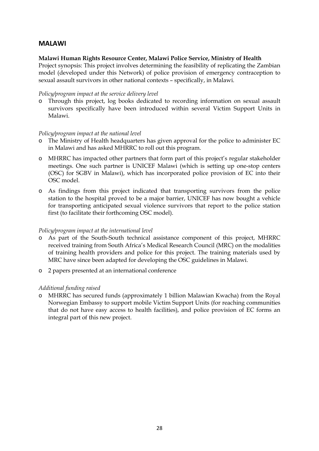## **MALAWI**

#### **Malawi Human Rights Resource Center, Malawi Police Service, Ministry of Health**

Project synopsis: This project involves determining the feasibility of replicating the Zambian model (developed under this Network) of police provision of emergency contraception to sexual assault survivors in other national contexts – specifically, in Malawi.

#### *Policy/program impact at the service delivery level*

o Through this project, log books dedicated to recording information on sexual assault survivors specifically have been introduced within several Victim Support Units in Malawi.

#### *Policy/program impact at the national level*

- o The Ministry of Health headquarters has given approval for the police to administer EC in Malawi and has asked MHRRC to roll out this program.
- o MHRRC has impacted other partners that form part of this project's regular stakeholder meetings. One such partner is UNICEF Malawi (which is setting up one-stop centers (OSC) for SGBV in Malawi), which has incorporated police provision of EC into their OSC model.
- o As findings from this project indicated that transporting survivors from the police station to the hospital proved to be a major barrier, UNICEF has now bought a vehicle for transporting anticipated sexual violence survivors that report to the police station first (to facilitate their forthcoming OSC model).

#### *Policy/program impact at the international level*

- o As part of the South-South technical assistance component of this project, MHRRC received training from South Africa's Medical Research Council (MRC) on the modalities of training health providers and police for this project. The training materials used by MRC have since been adapted for developing the OSC guidelines in Malawi.
- o 2 papers presented at an international conference

#### *Additional funding raised*

o MHRRC has secured funds (approximately 1 billion Malawian Kwacha) from the Royal Norwegian Embassy to support mobile Victim Support Units (for reaching communities that do not have easy access to health facilities), and police provision of EC forms an integral part of this new project.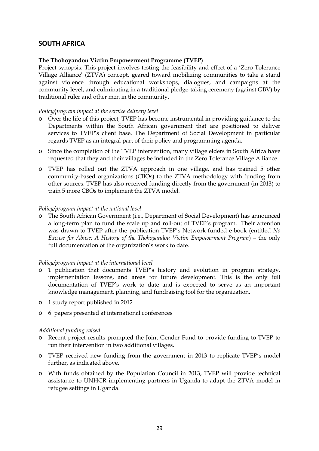## **SOUTH AFRICA**

#### **The Thohoyandou Victim Empowerment Programme (TVEP)**

Project synopsis: This project involves testing the feasibility and effect of a 'Zero Tolerance Village Alliance' (ZTVA) concept, geared toward mobilizing communities to take a stand against violence through educational workshops, dialogues, and campaigns at the community level, and culminating in a traditional pledge-taking ceremony (against GBV) by traditional ruler and other men in the community.

#### *Policy/program impact at the service delivery level*

- o Over the life of this project, TVEP has become instrumental in providing guidance to the Departments within the South African government that are positioned to deliver services to TVEP's client base. The Department of Social Development in particular regards TVEP as an integral part of their policy and programming agenda.
- o Since the completion of the TVEP intervention, many village elders in South Africa have requested that they and their villages be included in the Zero Tolerance Village Alliance.
- o TVEP has rolled out the ZTVA approach in one village, and has trained 5 other community-based organizations (CBOs) to the ZTVA methodology with funding from other sources. TVEP has also received funding directly from the government (in 2013) to train 5 more CBOs to implement the ZTVA model.

#### *Policy/program impact at the national level*

o The South African Government (i.e., Department of Social Development) has announced a long-term plan to fund the scale up and roll-out of TVEP's program. Their attention was drawn to TVEP after the publication TVEP's Network-funded e-book (entitled *No Excuse for Abuse: A History of the Thohoyandou Victim Empowerment Program*) – the only full documentation of the organization's work to date.

#### *Policy/program impact at the international level*

- o 1 publication that documents TVEP's history and evolution in program strategy, implementation lessons, and areas for future development. This is the only full documentation of TVEP's work to date and is expected to serve as an important knowledge management, planning, and fundraising tool for the organization.
- o 1 study report published in 2012
- o 6 papers presented at international conferences

#### *Additional funding raised*

- o Recent project results prompted the Joint Gender Fund to provide funding to TVEP to run their intervention in two additional villages.
- o TVEP received new funding from the government in 2013 to replicate TVEP's model further, as indicated above.
- o With funds obtained by the Population Council in 2013, TVEP will provide technical assistance to UNHCR implementing partners in Uganda to adapt the ZTVA model in refugee settings in Uganda.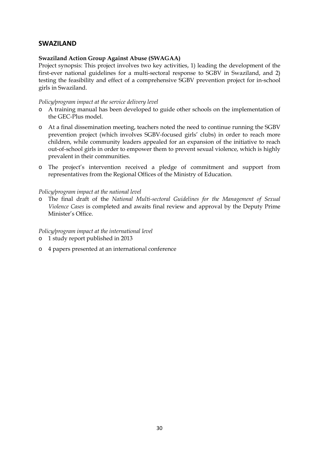## **SWAZILAND**

#### **Swaziland Action Group Against Abuse (SWAGAA)**

Project synopsis: This project involves two key activities, 1) leading the development of the first-ever national guidelines for a multi-sectoral response to SGBV in Swaziland, and 2) testing the feasibility and effect of a comprehensive SGBV prevention project for in-school girls in Swaziland.

#### *Policy/program impact at the service delivery level*

- o A training manual has been developed to guide other schools on the implementation of the GEC-Plus model.
- o At a final dissemination meeting, teachers noted the need to continue running the SGBV prevention project (which involves SGBV-focused girls' clubs) in order to reach more children, while community leaders appealed for an expansion of the initiative to reach out-of-school girls in order to empower them to prevent sexual violence, which is highly prevalent in their communities.
- o The project's intervention received a pledge of commitment and support from representatives from the Regional Offices of the Ministry of Education.

#### *Policy/program impact at the national level*

o The final draft of the *National Multi-sectoral Guidelines for the Management of Sexual Violence Cases* is completed and awaits final review and approval by the Deputy Prime Minister's Office.

#### *Policy/program impact at the international level*

- o 1 study report published in 2013
- o 4 papers presented at an international conference